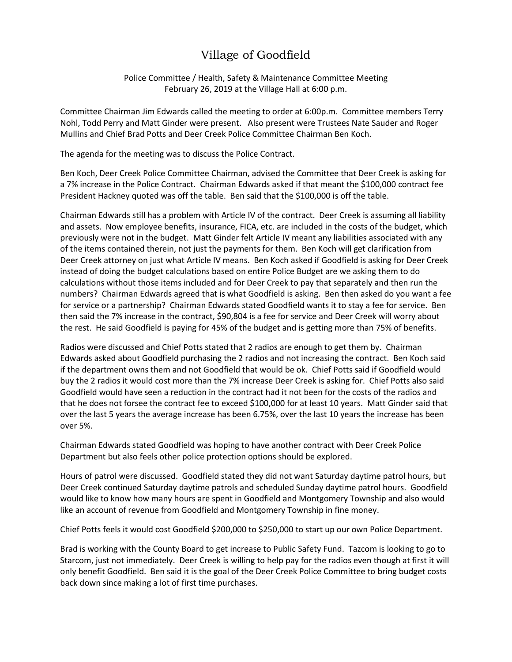## Village of Goodfield

Police Committee / Health, Safety & Maintenance Committee Meeting February 26, 2019 at the Village Hall at 6:00 p.m.

Committee Chairman Jim Edwards called the meeting to order at 6:00p.m. Committee members Terry Nohl, Todd Perry and Matt Ginder were present. Also present were Trustees Nate Sauder and Roger Mullins and Chief Brad Potts and Deer Creek Police Committee Chairman Ben Koch.

The agenda for the meeting was to discuss the Police Contract.

Ben Koch, Deer Creek Police Committee Chairman, advised the Committee that Deer Creek is asking for a 7% increase in the Police Contract. Chairman Edwards asked if that meant the \$100,000 contract fee President Hackney quoted was off the table. Ben said that the \$100,000 is off the table.

Chairman Edwards still has a problem with Article IV of the contract. Deer Creek is assuming all liability and assets. Now employee benefits, insurance, FICA, etc. are included in the costs of the budget, which previously were not in the budget. Matt Ginder felt Article IV meant any liabilities associated with any of the items contained therein, not just the payments for them. Ben Koch will get clarification from Deer Creek attorney on just what Article IV means. Ben Koch asked if Goodfield is asking for Deer Creek instead of doing the budget calculations based on entire Police Budget are we asking them to do calculations without those items included and for Deer Creek to pay that separately and then run the numbers? Chairman Edwards agreed that is what Goodfield is asking. Ben then asked do you want a fee for service or a partnership? Chairman Edwards stated Goodfield wants it to stay a fee for service. Ben then said the 7% increase in the contract, \$90,804 is a fee for service and Deer Creek will worry about the rest. He said Goodfield is paying for 45% of the budget and is getting more than 75% of benefits.

Radios were discussed and Chief Potts stated that 2 radios are enough to get them by. Chairman Edwards asked about Goodfield purchasing the 2 radios and not increasing the contract. Ben Koch said if the department owns them and not Goodfield that would be ok. Chief Potts said if Goodfield would buy the 2 radios it would cost more than the 7% increase Deer Creek is asking for. Chief Potts also said Goodfield would have seen a reduction in the contract had it not been for the costs of the radios and that he does not forsee the contract fee to exceed \$100,000 for at least 10 years. Matt Ginder said that over the last 5 years the average increase has been 6.75%, over the last 10 years the increase has been over 5%.

Chairman Edwards stated Goodfield was hoping to have another contract with Deer Creek Police Department but also feels other police protection options should be explored.

Hours of patrol were discussed. Goodfield stated they did not want Saturday daytime patrol hours, but Deer Creek continued Saturday daytime patrols and scheduled Sunday daytime patrol hours. Goodfield would like to know how many hours are spent in Goodfield and Montgomery Township and also would like an account of revenue from Goodfield and Montgomery Township in fine money.

Chief Potts feels it would cost Goodfield \$200,000 to \$250,000 to start up our own Police Department.

Brad is working with the County Board to get increase to Public Safety Fund. Tazcom is looking to go to Starcom, just not immediately. Deer Creek is willing to help pay for the radios even though at first it will only benefit Goodfield. Ben said it is the goal of the Deer Creek Police Committee to bring budget costs back down since making a lot of first time purchases.